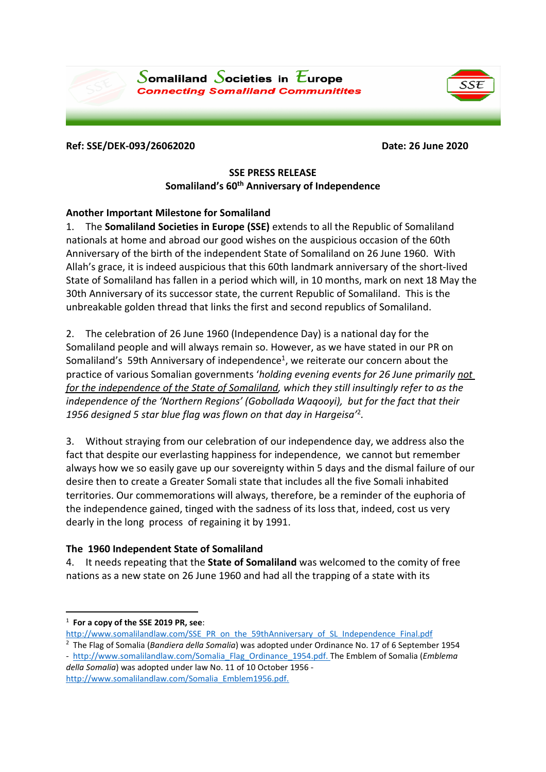





#### **Ref: SSE/DEK-093/26062020 Date: 26 June 2020**

# **SSE PRESS RELEASE Somaliland's 60 th Anniversary of Independence**

## **Another Important Milestone for Somaliland**

1. The **Somaliland Societies in Europe (SSE)** extends to all the Republic of Somaliland nationals at home and abroad our good wishes on the auspicious occasion of the 60th Anniversary of the birth of the independent State of Somaliland on 26 June 1960. With Allah's grace, it is indeed auspicious that this 60th landmark anniversary of the short-lived State of Somaliland has fallen in a period which will, in 10 months, mark on next 18 May the 30th Anniversary of its successor state, the current Republic of Somaliland. This is the unbreakable golden thread that links the first and second republics of Somaliland.

2. The celebration of 26 June 1960 (Independence Day) is a national day for the Somaliland people and will always remain so. However, as we have stated in our PR on Somaliland's 59th Anniversary of independence<sup>1</sup>, we reiterate our concern about the practice of various Somalian governments '*holding evening events for 26 June primarily not for the independence of the State of Somaliland, which they still insultingly refer to as the independence of the 'Northern Regions' (Gobollada Waqooyi), but for the fact that their 1956 designed 5 star blue flag was flown on that day in Hargeisa'* 2 *.*

3. Without straying from our celebration of our independence day, we address also the fact that despite our everlasting happiness for independence, we cannot but remember always how we so easily gave up our sovereignty within 5 days and the dismal failure of our desire then to create a Greater Somali state that includes all the five Somali inhabited territories. Our commemorations will always, therefore, be a reminder of the euphoria of the independence gained, tinged with the sadness of its loss that, indeed, cost us very dearly in the long process of regaining it by 1991.

## **The 1960 Independent State of Somaliland**

4. It needs repeating that the **State of Somaliland** was welcomed to the comity of free nations as a new state on 26 June 1960 and had all the trapping of a state with its

- [http://www.somalilandlaw.com/SSE\\_PR\\_on\\_the\\_59thAnniversary\\_of\\_SL\\_Independence\\_Final.pdf](http://www.somalilandlaw.com/SSE_PR_on_the_59thAnniversary_of_SL_Independence_Final.pdf)
- 2 The Flag of Somalia (*Bandiera della Somalia*) was adopted under Ordinance No. 17 of 6 September 1954

<sup>1</sup> **For a copy of the SSE 2019 PR, see**:

<sup>-</sup> [http://www.somalilandlaw.com/Somalia\\_Flag\\_Ordinance\\_1954.pdf.](http://www.somalilandlaw.com/Somalia_Flag_Ordinance_1954.pdf) The Emblem of Somalia (*Emblema della Somalia*) was adopted under law No. 11 of 10 October 1956 [http://www.somalilandlaw.com/Somalia\\_Emblem1956.pdf.](http://www.somalilandlaw.com/Somalia_Emblem1956.pdf)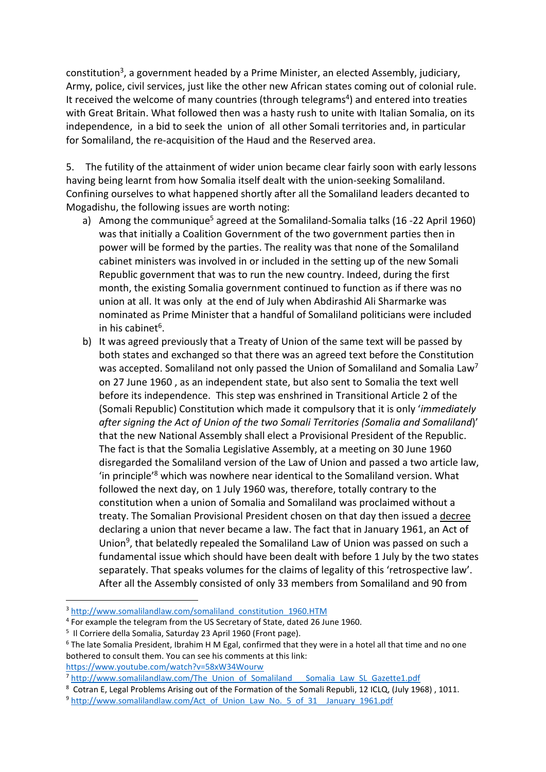constitution<sup>3</sup>, a government headed by a Prime Minister, an elected Assembly, judiciary, Army, police, civil services, just like the other new African states coming out of colonial rule. It received the welcome of many countries (through telegrams<sup>4</sup>) and entered into treaties with Great Britain. What followed then was a hasty rush to unite with Italian Somalia, on its independence, in a bid to seek the union of all other Somali territories and, in particular for Somaliland, the re-acquisition of the Haud and the Reserved area.

5. The futility of the attainment of wider union became clear fairly soon with early lessons having being learnt from how Somalia itself dealt with the union-seeking Somaliland. Confining ourselves to what happened shortly after all the Somaliland leaders decanted to Mogadishu, the following issues are worth noting:

- a) Among the communique<sup>5</sup> agreed at the Somaliland-Somalia talks (16 -22 April 1960) was that initially a Coalition Government of the two government parties then in power will be formed by the parties. The reality was that none of the Somaliland cabinet ministers was involved in or included in the setting up of the new Somali Republic government that was to run the new country. Indeed, during the first month, the existing Somalia government continued to function as if there was no union at all. It was only at the end of July when Abdirashid Ali Sharmarke was nominated as Prime Minister that a handful of Somaliland politicians were included in his cabinet<sup>6</sup>.
- b) It was agreed previously that a Treaty of Union of the same text will be passed by both states and exchanged so that there was an agreed text before the Constitution was accepted. Somaliland not only passed the Union of Somaliland and Somalia Law<sup>7</sup> on 27 June 1960 , as an independent state, but also sent to Somalia the text well before its independence. This step was enshrined in Transitional Article 2 of the (Somali Republic) Constitution which made it compulsory that it is only '*immediately after signing the Act of Union of the two Somali Territories (Somalia and Somaliland*)' that the new National Assembly shall elect a Provisional President of the Republic. The fact is that the Somalia Legislative Assembly, at a meeting on 30 June 1960 disregarded the Somaliland version of the Law of Union and passed a two article law, 'in principle' <sup>8</sup> which was nowhere near identical to the Somaliland version. What followed the next day, on 1 July 1960 was, therefore, totally contrary to the constitution when a union of Somalia and Somaliland was proclaimed without a treaty. The Somalian Provisional President chosen on that day then issued a decree declaring a union that never became a law. The fact that in January 1961, an Act of Union<sup>9</sup>, that belatedly repealed the Somaliland Law of Union was passed on such a fundamental issue which should have been dealt with before 1 July by the two states separately. That speaks volumes for the claims of legality of this 'retrospective law'. After all the Assembly consisted of only 33 members from Somaliland and 90 from

<https://www.youtube.com/watch?v=58xW34Wourw>

<sup>&</sup>lt;sup>3</sup> [http://www.somalilandlaw.com/somaliland\\_constitution\\_1960.HTM](http://www.somalilandlaw.com/somaliland_constitution_1960.HTM)

<sup>&</sup>lt;sup>4</sup> For example the telegram from the US Secretary of State, dated 26 June 1960.

<sup>&</sup>lt;sup>5</sup> Il Corriere della Somalia, Saturday 23 April 1960 (Front page).

<sup>6</sup> The late Somalia President, Ibrahim H M Egal, confirmed that they were in a hotel all that time and no one bothered to consult them. You can see his comments at this link:

<sup>&</sup>lt;sup>7</sup> http://www.somalilandlaw.com/The Union\_of\_Somaliland \_\_\_Somalia\_Law\_SL\_Gazette1.pdf

<sup>8</sup> Cotran E, Legal Problems Arising out of the Formation of the Somali Republi, 12 ICLQ, (July 1968) , 1011.

<sup>&</sup>lt;sup>9</sup> [http://www.somalilandlaw.com/Act\\_of\\_Union\\_Law\\_No.\\_5\\_of\\_31\\_\\_January\\_1961.pdf](http://www.somalilandlaw.com/Act_of_Union_Law_No._5_of_31__January_1961.pdf)